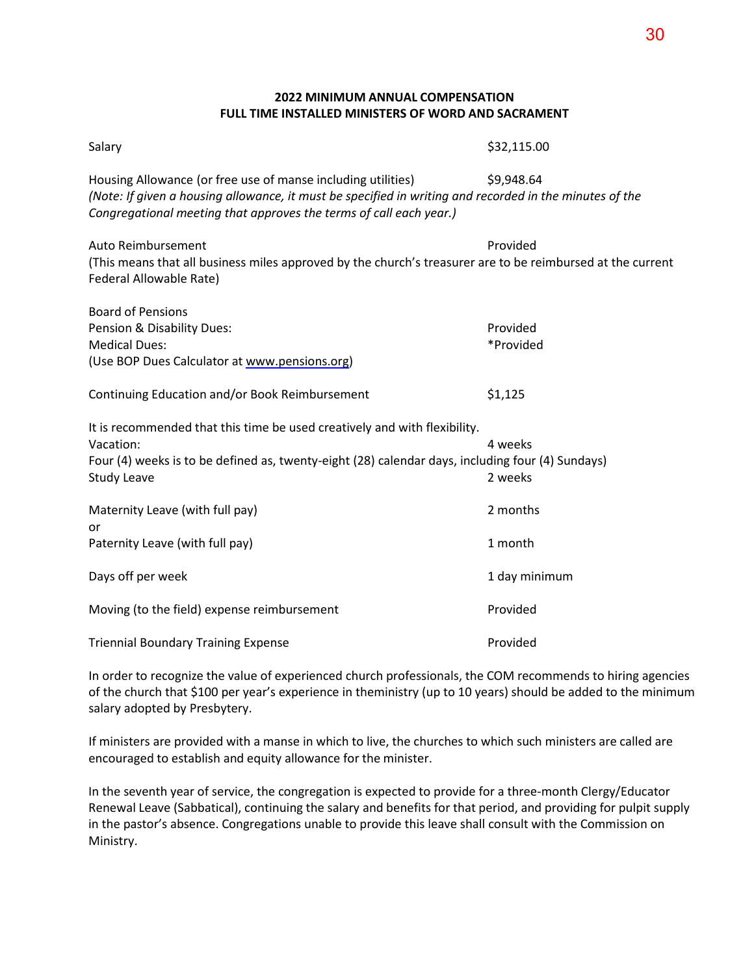## **2022 MINIMUM ANNUAL COMPENSATION FULL TIME INSTALLED MINISTERS OF WORD AND SACRAMENT**

| Salary                                                                                                                                                                                                                                        | \$32,115.00           |
|-----------------------------------------------------------------------------------------------------------------------------------------------------------------------------------------------------------------------------------------------|-----------------------|
| Housing Allowance (or free use of manse including utilities)<br>(Note: If given a housing allowance, it must be specified in writing and recorded in the minutes of the<br>Congregational meeting that approves the terms of call each year.) | \$9,948.64            |
| Auto Reimbursement<br>(This means that all business miles approved by the church's treasurer are to be reimbursed at the current<br>Federal Allowable Rate)                                                                                   | Provided              |
| <b>Board of Pensions</b><br>Pension & Disability Dues:<br><b>Medical Dues:</b><br>(Use BOP Dues Calculator at www.pensions.org)                                                                                                               | Provided<br>*Provided |
| Continuing Education and/or Book Reimbursement                                                                                                                                                                                                | \$1,125               |
| It is recommended that this time be used creatively and with flexibility.<br>Vacation:<br>Four (4) weeks is to be defined as, twenty-eight (28) calendar days, including four (4) Sundays)<br><b>Study Leave</b>                              | 4 weeks<br>2 weeks    |
| Maternity Leave (with full pay)<br>or<br>Paternity Leave (with full pay)                                                                                                                                                                      | 2 months<br>1 month   |
| Days off per week                                                                                                                                                                                                                             | 1 day minimum         |
| Moving (to the field) expense reimbursement                                                                                                                                                                                                   | Provided              |
| <b>Triennial Boundary Training Expense</b>                                                                                                                                                                                                    | Provided              |

In order to recognize the value of experienced church professionals, the COM recommends to hiring agencies of the church that \$100 per year's experience in theministry (up to 10 years) should be added to the minimum salary adopted by Presbytery.

If ministers are provided with a manse in which to live, the churches to which such ministers are called are encouraged to establish and equity allowance for the minister.

In the seventh year of service, the congregation is expected to provide for a three-month Clergy/Educator Renewal Leave (Sabbatical), continuing the salary and benefits for that period, and providing for pulpit supply in the pastor's absence. Congregations unable to provide this leave shall consult with the Commission on Ministry.